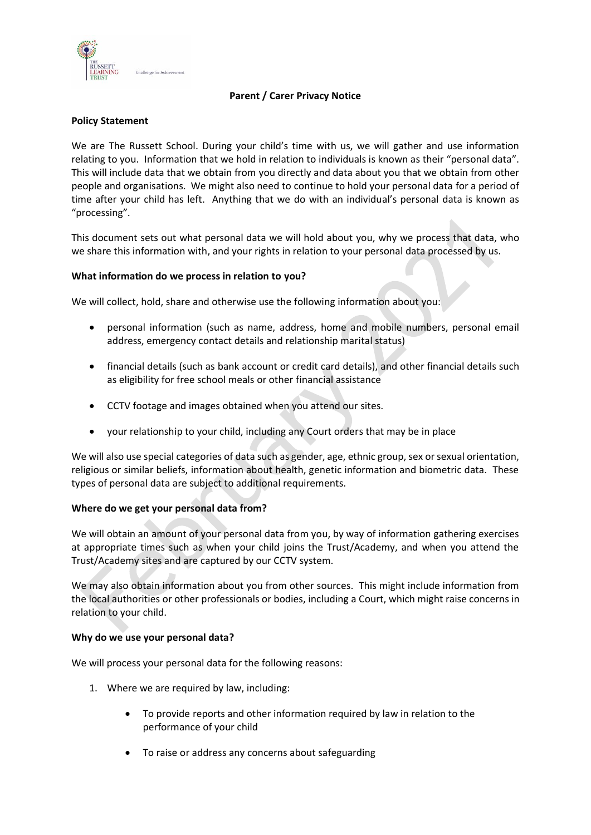

# **Parent / Carer Privacy Notice**

# **Policy Statement**

We are The Russett School. During your child's time with us, we will gather and use information relating to you. Information that we hold in relation to individuals is known as their "personal data". This will include data that we obtain from you directly and data about you that we obtain from other people and organisations. We might also need to continue to hold your personal data for a period of time after your child has left. Anything that we do with an individual's personal data is known as "processing".

This document sets out what personal data we will hold about you, why we process that data, who we share this information with, and your rights in relation to your personal data processed by us.

# **What information do we process in relation to you?**

We will collect, hold, share and otherwise use the following information about you:

- personal information (such as name, address, home and mobile numbers, personal email address, emergency contact details and relationship marital status)
- financial details (such as bank account or credit card details), and other financial details such as eligibility for free school meals or other financial assistance
- CCTV footage and images obtained when you attend our sites.
- your relationship to your child, including any Court orders that may be in place

We will also use special categories of data such as gender, age, ethnic group, sex or sexual orientation, religious or similar beliefs, information about health, genetic information and biometric data. These types of personal data are subject to additional requirements.

## **Where do we get your personal data from?**

We will obtain an amount of your personal data from you, by way of information gathering exercises at appropriate times such as when your child joins the Trust/Academy, and when you attend the Trust/Academy sites and are captured by our CCTV system.

We may also obtain information about you from other sources. This might include information from the local authorities or other professionals or bodies, including a Court, which might raise concerns in relation to your child.

## **Why do we use your personal data?**

We will process your personal data for the following reasons:

- 1. Where we are required by law, including:
	- To provide reports and other information required by law in relation to the performance of your child
	- To raise or address any concerns about safeguarding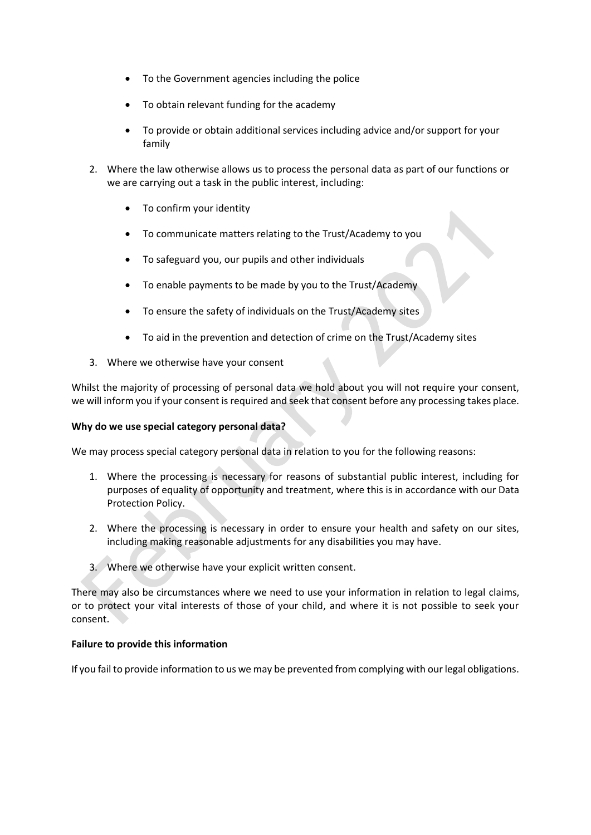- To the Government agencies including the police
- To obtain relevant funding for the academy
- To provide or obtain additional services including advice and/or support for your family
- 2. Where the law otherwise allows us to process the personal data as part of our functions or we are carrying out a task in the public interest, including:
	- To confirm your identity
	- To communicate matters relating to the Trust/Academy to you
	- To safeguard you, our pupils and other individuals
	- To enable payments to be made by you to the Trust/Academy
	- To ensure the safety of individuals on the Trust/Academy sites
	- To aid in the prevention and detection of crime on the Trust/Academy sites
- 3. Where we otherwise have your consent

Whilst the majority of processing of personal data we hold about you will not require your consent, we will inform you if your consent is required and seek that consent before any processing takes place.

## **Why do we use special category personal data?**

We may process special category personal data in relation to you for the following reasons:

- 1. Where the processing is necessary for reasons of substantial public interest, including for purposes of equality of opportunity and treatment, where this is in accordance with our Data Protection Policy.
- 2. Where the processing is necessary in order to ensure your health and safety on our sites, including making reasonable adjustments for any disabilities you may have.
- 3. Where we otherwise have your explicit written consent.

There may also be circumstances where we need to use your information in relation to legal claims, or to protect your vital interests of those of your child, and where it is not possible to seek your consent.

#### **Failure to provide this information**

If you fail to provide information to us we may be prevented from complying with our legal obligations.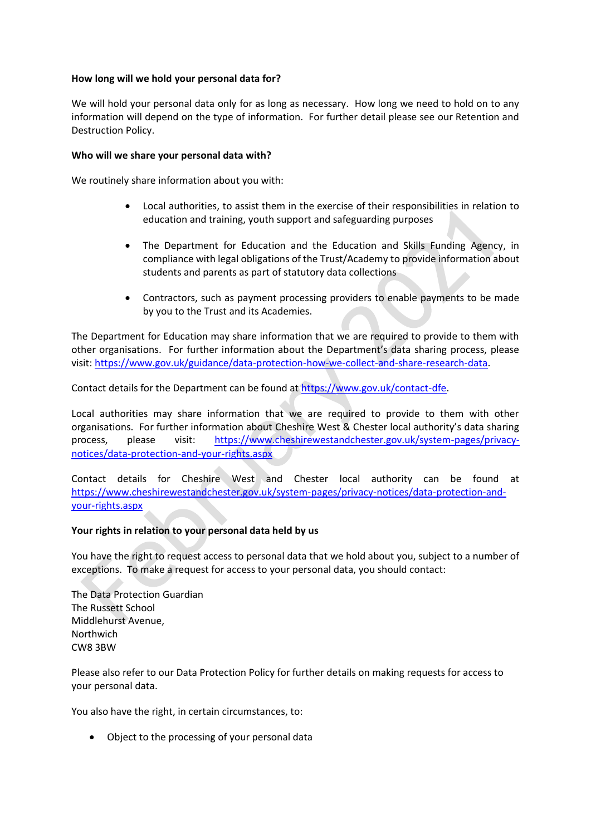# **How long will we hold your personal data for?**

We will hold your personal data only for as long as necessary. How long we need to hold on to any information will depend on the type of information. For further detail please see our Retention and Destruction Policy.

# **Who will we share your personal data with?**

We routinely share information about you with:

- Local authorities, to assist them in the exercise of their responsibilities in relation to education and training, youth support and safeguarding purposes
- The Department for Education and the Education and Skills Funding Agency, in compliance with legal obligations of the Trust/Academy to provide information about students and parents as part of statutory data collections
- Contractors, such as payment processing providers to enable payments to be made by you to the Trust and its Academies.

The Department for Education may share information that we are required to provide to them with other organisations. For further information about the Department's data sharing process, please visit: [https://www.gov.uk/guidance/data-protection-how-we-collect-and-share-research-data.](https://www.gov.uk/guidance/data-protection-how-we-collect-and-share-research-data)

Contact details for the Department can be found a[t https://www.gov.uk/contact-dfe.](https://www.gov.uk/contact-dfe)

Local authorities may share information that we are required to provide to them with other organisations. For further information about Cheshire West & Chester local authority's data sharing process, please visit: [https://www.cheshirewestandchester.gov.uk/system-pages/privacy](https://www.cheshirewestandchester.gov.uk/system-pages/privacy-notices/data-protection-and-your-rights.aspx)[notices/data-protection-and-your-rights.aspx](https://www.cheshirewestandchester.gov.uk/system-pages/privacy-notices/data-protection-and-your-rights.aspx)

Contact details for Cheshire West and Chester local authority can be found at [https://www.cheshirewestandchester.gov.uk/system-pages/privacy-notices/data-protection-and](https://www.cheshirewestandchester.gov.uk/system-pages/privacy-notices/data-protection-and-your-rights.aspx)[your-rights.aspx](https://www.cheshirewestandchester.gov.uk/system-pages/privacy-notices/data-protection-and-your-rights.aspx)

## **Your rights in relation to your personal data held by us**

You have the right to request access to personal data that we hold about you, subject to a number of exceptions. To make a request for access to your personal data, you should contact:

The Data Protection Guardian The Russett School Middlehurst Avenue, Northwich CW8 3BW

Please also refer to our Data Protection Policy for further details on making requests for access to your personal data.

You also have the right, in certain circumstances, to:

• Object to the processing of your personal data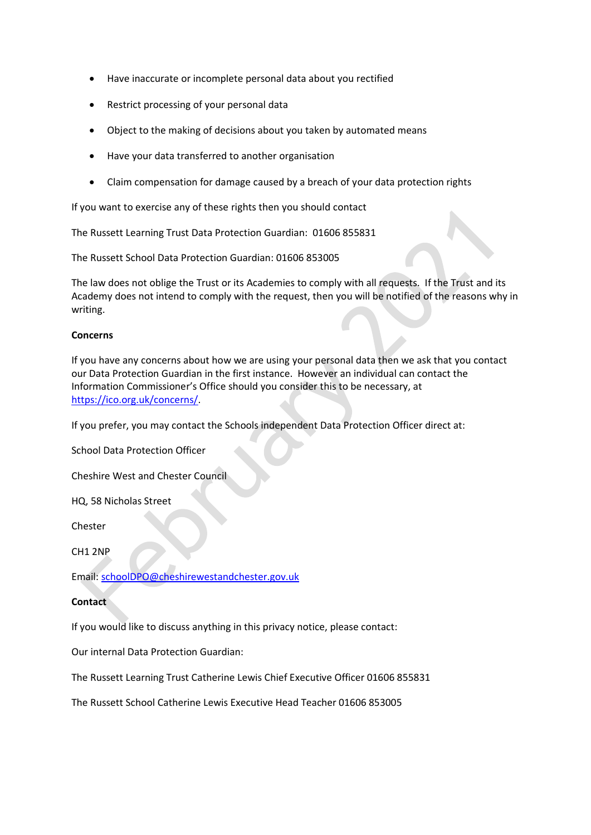- Have inaccurate or incomplete personal data about you rectified
- Restrict processing of your personal data
- Object to the making of decisions about you taken by automated means
- Have your data transferred to another organisation
- Claim compensation for damage caused by a breach of your data protection rights

If you want to exercise any of these rights then you should contact

The Russett Learning Trust Data Protection Guardian: 01606 855831

The Russett School Data Protection Guardian: 01606 853005

The law does not oblige the Trust or its Academies to comply with all requests. If the Trust and its Academy does not intend to comply with the request, then you will be notified of the reasons why in writing.

### **Concerns**

If you have any concerns about how we are using your personal data then we ask that you contact our Data Protection Guardian in the first instance. However an individual can contact the Information Commissioner's Office should you consider this to be necessary, at [https://ico.org.uk/concerns/.](https://ico.org.uk/concerns/)

If you prefer, you may contact the Schools independent Data Protection Officer direct at:

School Data Protection Officer

Cheshire West and Chester Council

HQ, 58 Nicholas Street

Chester

CH1 2NP

Email: [schoolDPO@cheshirewestandchester.gov.uk](mailto:schoolDPO@cheshirewestandchester.gov.uk)

### **Contact**

If you would like to discuss anything in this privacy notice, please contact:

Our internal Data Protection Guardian:

The Russett Learning Trust Catherine Lewis Chief Executive Officer 01606 855831

The Russett School Catherine Lewis Executive Head Teacher 01606 853005